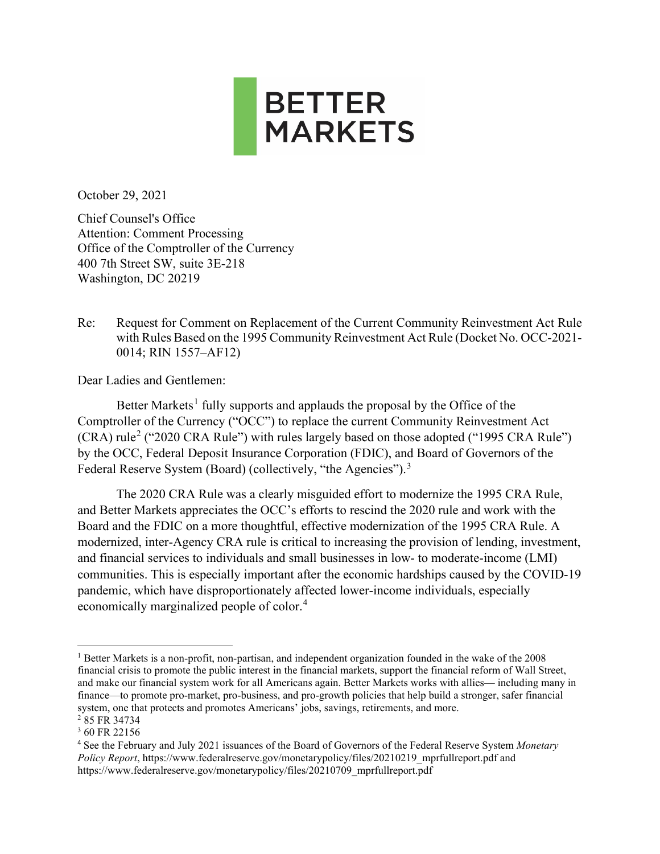

October 29, 2021

Chief Counsel's Office Attention: Comment Processing Office of the Comptroller of the Currency 400 7th Street SW, suite 3E-218 Washington, DC 20219

Re: Request for Comment on Replacement of the Current Community Reinvestment Act Rule with Rules Based on the 1995 Community Reinvestment Act Rule (Docket No. OCC-2021- 0014; RIN 1557–AF12)

Dear Ladies and Gentlemen:

Better Markets<sup>[1](#page-0-0)</sup> fully supports and applauds the proposal by the Office of the Comptroller of the Currency ("OCC") to replace the current Community Reinvestment Act  $(CRA)$  rule<sup>[2](#page-0-1)</sup> ("2020 CRA Rule") with rules largely based on those adopted ("1995 CRA Rule") by the OCC, Federal Deposit Insurance Corporation (FDIC), and Board of Governors of the Federal Reserve System (Board) (collectively, "the Agencies").<sup>[3](#page-0-2)</sup>

The 2020 CRA Rule was a clearly misguided effort to modernize the 1995 CRA Rule, and Better Markets appreciates the OCC's efforts to rescind the 2020 rule and work with the Board and the FDIC on a more thoughtful, effective modernization of the 1995 CRA Rule. A modernized, inter-Agency CRA rule is critical to increasing the provision of lending, investment, and financial services to individuals and small businesses in low- to moderate-income (LMI) communities. This is especially important after the economic hardships caused by the COVID-19 pandemic, which have disproportionately affected lower-income individuals, especially economically marginalized people of color.[4](#page-0-3)

<span id="page-0-0"></span><sup>1</sup> Better Markets is a non-profit, non-partisan, and independent organization founded in the wake of the 2008 financial crisis to promote the public interest in the financial markets, support the financial reform of Wall Street, and make our financial system work for all Americans again. Better Markets works with allies— including many in finance—to promote pro-market, pro-business, and pro-growth policies that help build a stronger, safer financial system, one that protects and promotes Americans' jobs, savings, retirements, and more.

<span id="page-0-1"></span><sup>&</sup>lt;sup>2</sup>85 FR 34734

<span id="page-0-2"></span><sup>3</sup> 60 FR 22156

<span id="page-0-3"></span><sup>4</sup> See the February and July 2021 issuances of the Board of Governors of the Federal Reserve System *Monetary Policy Report*, https://www.federalreserve.gov/monetarypolicy/files/20210219\_mprfullreport.pdf and https://www.federalreserve.gov/monetarypolicy/files/20210709\_mprfullreport.pdf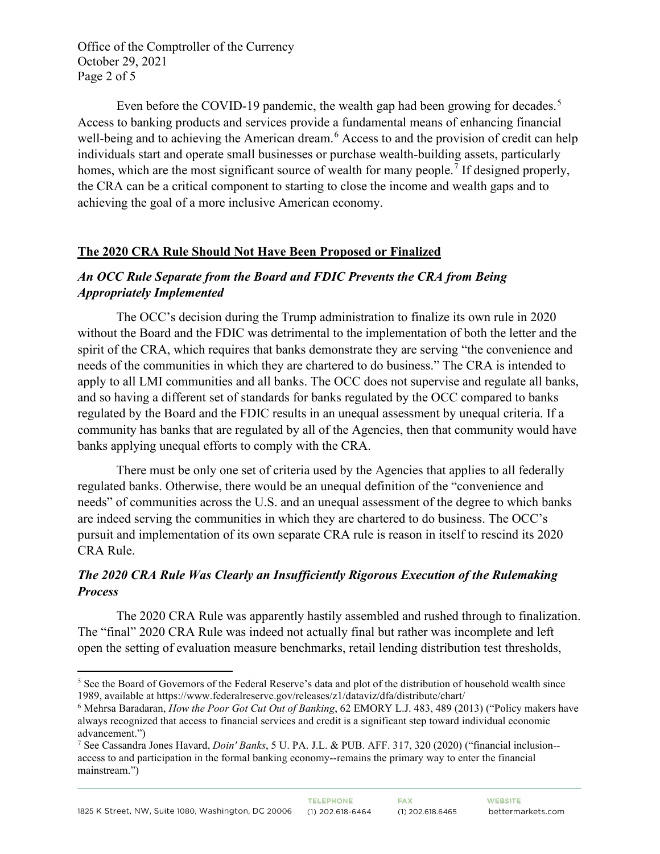Office of the Comptroller of the Currency October 29, 2021 Page 2 of 5

Even before the COVID-19 pandemic, the wealth gap had been growing for decades.<sup>[5](#page-1-0)</sup> Access to banking products and services provide a fundamental means of enhancing financial well-being and to achieving the American dream.<sup>[6](#page-1-1)</sup> Access to and the provision of credit can help individuals start and operate small businesses or purchase wealth-building assets, particularly homes, which are the most significant source of wealth for many people.<sup>[7](#page-1-2)</sup> If designed properly, the CRA can be a critical component to starting to close the income and wealth gaps and to achieving the goal of a more inclusive American economy.

#### **The 2020 CRA Rule Should Not Have Been Proposed or Finalized**

#### *An OCC Rule Separate from the Board and FDIC Prevents the CRA from Being Appropriately Implemented*

The OCC's decision during the Trump administration to finalize its own rule in 2020 without the Board and the FDIC was detrimental to the implementation of both the letter and the spirit of the CRA, which requires that banks demonstrate they are serving "the convenience and needs of the communities in which they are chartered to do business." The CRA is intended to apply to all LMI communities and all banks. The OCC does not supervise and regulate all banks, and so having a different set of standards for banks regulated by the OCC compared to banks regulated by the Board and the FDIC results in an unequal assessment by unequal criteria. If a community has banks that are regulated by all of the Agencies, then that community would have banks applying unequal efforts to comply with the CRA.

There must be only one set of criteria used by the Agencies that applies to all federally regulated banks. Otherwise, there would be an unequal definition of the "convenience and needs" of communities across the U.S. and an unequal assessment of the degree to which banks are indeed serving the communities in which they are chartered to do business. The OCC's pursuit and implementation of its own separate CRA rule is reason in itself to rescind its 2020 CRA Rule.

#### *The 2020 CRA Rule Was Clearly an Insufficiently Rigorous Execution of the Rulemaking Process*

The 2020 CRA Rule was apparently hastily assembled and rushed through to finalization. The "final" 2020 CRA Rule was indeed not actually final but rather was incomplete and left open the setting of evaluation measure benchmarks, retail lending distribution test thresholds,

<span id="page-1-0"></span> $<sup>5</sup>$  See the Board of Governors of the Federal Reserve's data and plot of the distribution of household wealth since</sup> 1989, available at https://www.federalreserve.gov/releases/z1/dataviz/dfa/distribute/chart/

<span id="page-1-1"></span><sup>6</sup> Mehrsa Baradaran, *How the Poor Got Cut Out of Banking*, 62 EMORY L.J. 483, 489 (2013) ("Policy makers have always recognized that access to financial services and credit is a significant step toward individual economic advancement.")

<span id="page-1-2"></span><sup>7</sup> See Cassandra Jones Havard, *Doin' Banks*, 5 U. PA. J.L. & PUB. AFF. 317, 320 (2020) ("financial inclusion- access to and participation in the formal banking economy--remains the primary way to enter the financial mainstream.")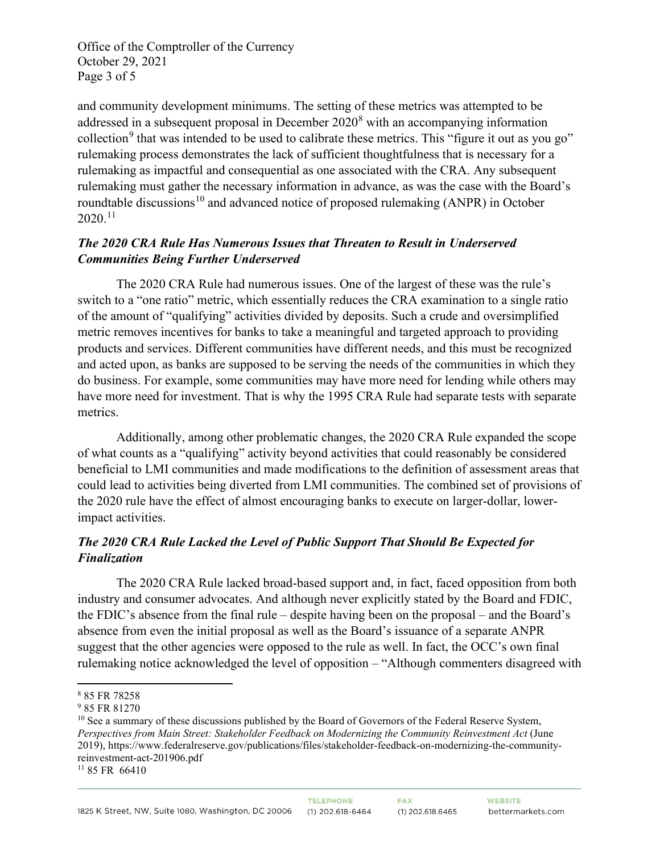Office of the Comptroller of the Currency October 29, 2021 Page 3 of 5

and community development minimums. The setting of these metrics was attempted to be addressed in a subsequent proposal in December  $2020<sup>8</sup>$  $2020<sup>8</sup>$  $2020<sup>8</sup>$  with an accompanying information collection<sup>[9](#page-2-1)</sup> that was intended to be used to calibrate these metrics. This "figure it out as you go" rulemaking process demonstrates the lack of sufficient thoughtfulness that is necessary for a rulemaking as impactful and consequential as one associated with the CRA. Any subsequent rulemaking must gather the necessary information in advance, as was the case with the Board's roundtable discussions<sup>[10](#page-2-2)</sup> and advanced notice of proposed rulemaking (ANPR) in October  $2020.<sup>11</sup>$  $2020.<sup>11</sup>$  $2020.<sup>11</sup>$ 

## *The 2020 CRA Rule Has Numerous Issues that Threaten to Result in Underserved Communities Being Further Underserved*

The 2020 CRA Rule had numerous issues. One of the largest of these was the rule's switch to a "one ratio" metric, which essentially reduces the CRA examination to a single ratio of the amount of "qualifying" activities divided by deposits. Such a crude and oversimplified metric removes incentives for banks to take a meaningful and targeted approach to providing products and services. Different communities have different needs, and this must be recognized and acted upon, as banks are supposed to be serving the needs of the communities in which they do business. For example, some communities may have more need for lending while others may have more need for investment. That is why the 1995 CRA Rule had separate tests with separate metrics.

Additionally, among other problematic changes, the 2020 CRA Rule expanded the scope of what counts as a "qualifying" activity beyond activities that could reasonably be considered beneficial to LMI communities and made modifications to the definition of assessment areas that could lead to activities being diverted from LMI communities. The combined set of provisions of the 2020 rule have the effect of almost encouraging banks to execute on larger-dollar, lowerimpact activities.

# *The 2020 CRA Rule Lacked the Level of Public Support That Should Be Expected for Finalization*

The 2020 CRA Rule lacked broad-based support and, in fact, faced opposition from both industry and consumer advocates. And although never explicitly stated by the Board and FDIC, the FDIC's absence from the final rule – despite having been on the proposal – and the Board's absence from even the initial proposal as well as the Board's issuance of a separate ANPR suggest that the other agencies were opposed to the rule as well. In fact, the OCC's own final rulemaking notice acknowledged the level of opposition – "Although commenters disagreed with

<span id="page-2-0"></span><sup>8</sup> 85 FR 78258

<span id="page-2-1"></span><sup>9</sup> 85 FR 81270

<span id="page-2-2"></span><sup>&</sup>lt;sup>10</sup> See a summary of these discussions published by the Board of Governors of the Federal Reserve System, *Perspectives from Main Street: Stakeholder Feedback on Modernizing the Community Reinvestment Act* (June 2019), https://www.federalreserve.gov/publications/files/stakeholder-feedback-on-modernizing-the-communityreinvestment-act-201906.pdf

<span id="page-2-3"></span><sup>11</sup> 85 FR 66410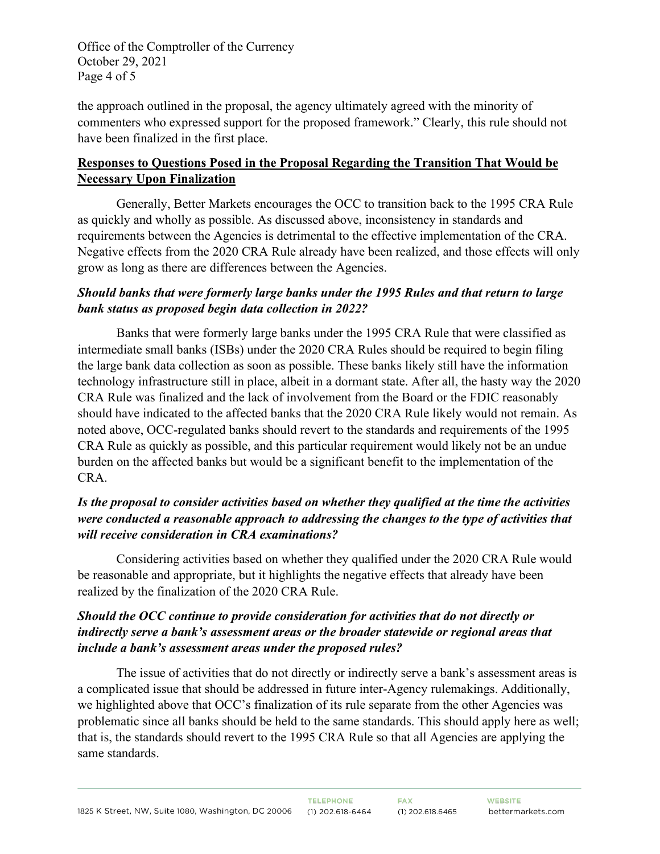Office of the Comptroller of the Currency October 29, 2021 Page 4 of 5

the approach outlined in the proposal, the agency ultimately agreed with the minority of commenters who expressed support for the proposed framework." Clearly, this rule should not have been finalized in the first place.

## **Responses to Questions Posed in the Proposal Regarding the Transition That Would be Necessary Upon Finalization**

Generally, Better Markets encourages the OCC to transition back to the 1995 CRA Rule as quickly and wholly as possible. As discussed above, inconsistency in standards and requirements between the Agencies is detrimental to the effective implementation of the CRA. Negative effects from the 2020 CRA Rule already have been realized, and those effects will only grow as long as there are differences between the Agencies.

## *Should banks that were formerly large banks under the 1995 Rules and that return to large bank status as proposed begin data collection in 2022?*

Banks that were formerly large banks under the 1995 CRA Rule that were classified as intermediate small banks (ISBs) under the 2020 CRA Rules should be required to begin filing the large bank data collection as soon as possible. These banks likely still have the information technology infrastructure still in place, albeit in a dormant state. After all, the hasty way the 2020 CRA Rule was finalized and the lack of involvement from the Board or the FDIC reasonably should have indicated to the affected banks that the 2020 CRA Rule likely would not remain. As noted above, OCC-regulated banks should revert to the standards and requirements of the 1995 CRA Rule as quickly as possible, and this particular requirement would likely not be an undue burden on the affected banks but would be a significant benefit to the implementation of the CRA.

## *Is the proposal to consider activities based on whether they qualified at the time the activities were conducted a reasonable approach to addressing the changes to the type of activities that will receive consideration in CRA examinations?*

Considering activities based on whether they qualified under the 2020 CRA Rule would be reasonable and appropriate, but it highlights the negative effects that already have been realized by the finalization of the 2020 CRA Rule.

## *Should the OCC continue to provide consideration for activities that do not directly or indirectly serve a bank's assessment areas or the broader statewide or regional areas that include a bank's assessment areas under the proposed rules?*

The issue of activities that do not directly or indirectly serve a bank's assessment areas is a complicated issue that should be addressed in future inter-Agency rulemakings. Additionally, we highlighted above that OCC's finalization of its rule separate from the other Agencies was problematic since all banks should be held to the same standards. This should apply here as well; that is, the standards should revert to the 1995 CRA Rule so that all Agencies are applying the same standards.